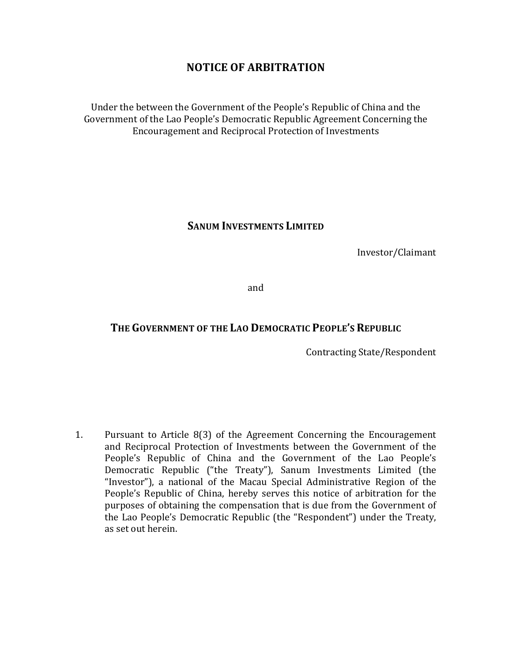# **NOTICE OF ARBITRATION**

Under the between the Government of the People's Republic of China and the Government of the Lao People's Democratic Republic Agreement Concerning the Encouragement and Reciprocal Protection of Investments

#### **SANUM INVESTMENTS LIMITED**

Investor/Claimant

and

## THE GOVERNMENT OF THE LAO DEMOCRATIC PEOPLE'S REPUBLIC

Contracting State/Respondent

1. Pursuant to Article 8(3) of the Agreement Concerning the Encouragement and Reciprocal Protection of Investments between the Government of the People's Republic of China and the Government of the Lao People's Democratic Republic ("the Treaty"), Sanum Investments Limited (the "Investor"), a national of the Macau Special Administrative Region of the People's Republic of China, hereby serves this notice of arbitration for the purposes of obtaining the compensation that is due from the Government of the Lao People's Democratic Republic (the "Respondent") under the Treaty, as set out herein.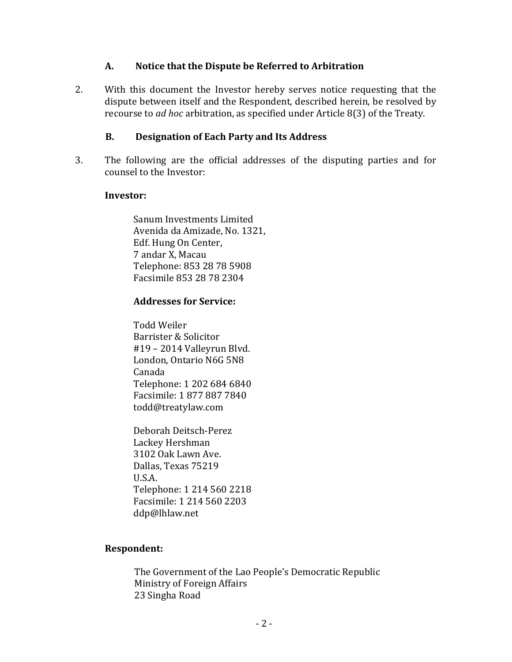#### **A. Notice that the Dispute be Referred to Arbitration**

2. With this document the Investor hereby serves notice requesting that the dispute between itself and the Respondent, described herein, be resolved by recourse to *ad hoc* arbitration, as specified under Article 8(3) of the Treaty.

### **B. Designation of Each Party and Its Address**

3. The following are the official addresses of the disputing parties and for counsel to the Investor:

#### **Investor:**

Sanum Investments Limited Avenida da Amizade, No. 1321, Edf. Hung On Center, 7 andar X, Macau Telephone: 853 28 78 5908 Facsimile 853 28 78 2304

#### Addresses for Service:

Todd Weiler Barrister & Solicitor #19 – 2014 Valleyrun Blvd. London, Ontario N6G 5N8 Canada Telephone: 1 202 684 6840 Facsimile: 1 877 887 7840 todd@treatylaw.com

Deborah Deitsch-Perez Lackey Hershman 3102 Oak Lawn Ave. Dallas, Texas 75219 U.S.A. Telephone: 1 214 560 2218 Facsimile: 1 214 560 2203 ddp@lhlaw.net

#### **Respondent:**

The Government of the Lao People's Democratic Republic Ministry of Foreign Affairs 23 Singha Road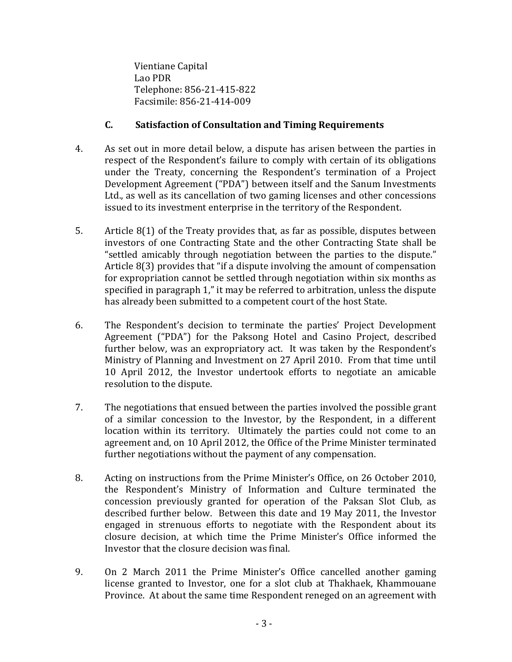Vientiane Capital Lao PDR Telephone: 856-21-415-822 Facsimile: 856-21-414-009

## **C. Satisfaction of Consultation and Timing Requirements**

- 4. As set out in more detail below, a dispute has arisen between the parties in respect of the Respondent's failure to comply with certain of its obligations under the Treaty, concerning the Respondent's termination of a Project Development Agreement ("PDA") between itself and the Sanum Investments Ltd., as well as its cancellation of two gaming licenses and other concessions issued to its investment enterprise in the territory of the Respondent.
- 5. Article 8(1) of the Treaty provides that, as far as possible, disputes between investors of one Contracting State and the other Contracting State shall be "settled amicably through negotiation between the parties to the dispute." Article  $8(3)$  provides that "if a dispute involving the amount of compensation for expropriation cannot be settled through negotiation within six months as specified in paragraph 1," it may be referred to arbitration, unless the dispute has already been submitted to a competent court of the host State.
- 6. The Respondent's decision to terminate the parties' Project Development Agreement ("PDA") for the Paksong Hotel and Casino Project, described further below, was an expropriatory act. It was taken by the Respondent's Ministry of Planning and Investment on 27 April 2010. From that time until 10 April 2012, the Investor undertook efforts to negotiate an amicable resolution to the dispute.
- 7. The negotiations that ensued between the parties involved the possible grant of a similar concession to the Investor, by the Respondent, in a different location within its territory. Ultimately the parties could not come to an agreement and, on 10 April 2012, the Office of the Prime Minister terminated further negotiations without the payment of any compensation.
- 8. Acting on instructions from the Prime Minister's Office, on 26 October 2010, the Respondent's Ministry of Information and Culture terminated the concession previously granted for operation of the Paksan Slot Club, as described further below. Between this date and 19 May 2011, the Investor engaged in strenuous efforts to negotiate with the Respondent about its closure decision, at which time the Prime Minister's Office informed the Investor that the closure decision was final.
- 9. On 2 March 2011 the Prime Minister's Office cancelled another gaming license granted to Investor, one for a slot club at Thakhaek, Khammouane Province. At about the same time Respondent reneged on an agreement with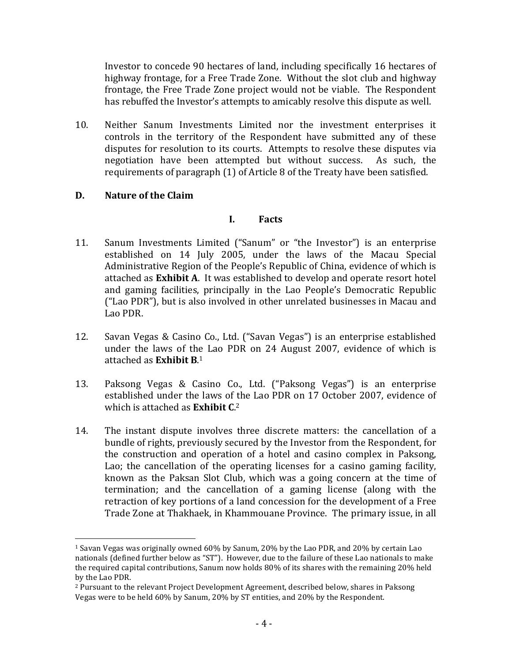Investor to concede 90 hectares of land, including specifically 16 hectares of highway frontage, for a Free Trade Zone. Without the slot club and highway frontage, the Free Trade Zone project would not be viable. The Respondent has rebuffed the Investor's attempts to amicably resolve this dispute as well.

10. Neither Sanum Investments Limited nor the investment enterprises it controls in the territory of the Respondent have submitted any of these disputes for resolution to its courts. Attempts to resolve these disputes via negotiation have been attempted but without success. As such, the requirements of paragraph (1) of Article 8 of the Treaty have been satisfied.

### **D. Nature of the Claim**

 

#### **I. Facts**

- 11. Sanum Investments Limited ("Sanum" or "the Investor") is an enterprise established on 14 July 2005, under the laws of the Macau Special Administrative Region of the People's Republic of China, evidence of which is attached as **Exhibit A**. It was established to develop and operate resort hotel and gaming facilities, principally in the Lao People's Democratic Republic ("Lao PDR"), but is also involved in other unrelated businesses in Macau and Lao PDR.
- 12. Savan Vegas & Casino Co., Ltd. ("Savan Vegas") is an enterprise established under the laws of the Lao PDR on 24 August 2007, evidence of which is attached as **Exhibit B**.<sup>1</sup>
- 13. Paksong Vegas & Casino Co., Ltd. ("Paksong Vegas") is an enterprise established under the laws of the Lao PDR on 17 October 2007, evidence of which is attached as **Exhibit C**.<sup>2</sup>
- 14. The instant dispute involves three discrete matters: the cancellation of a bundle of rights, previously secured by the Investor from the Respondent, for the construction and operation of a hotel and casino complex in Paksong, Lao; the cancellation of the operating licenses for a casino gaming facility, known as the Paksan Slot Club, which was a going concern at the time of termination; and the cancellation of a gaming license (along with the retraction of key portions of a land concession for the development of a Free Trade Zone at Thakhaek, in Khammouane Province. The primary issue, in all

<sup>&</sup>lt;sup>1</sup> Savan Vegas was originally owned  $60\%$  by Sanum, 20% by the Lao PDR, and 20% by certain Lao nationals (defined further below as "ST"). However, due to the failure of these Lao nationals to make the required capital contributions, Sanum now holds 80% of its shares with the remaining 20% held by the Lao PDR.

 $2$  Pursuant to the relevant Project Development Agreement, described below, shares in Paksong Vegas were to be held 60% by Sanum, 20% by ST entities, and 20% by the Respondent.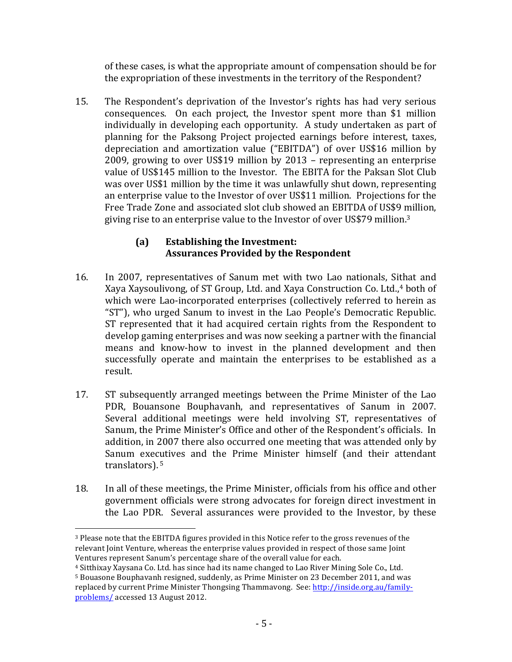of these cases, is what the appropriate amount of compensation should be for the expropriation of these investments in the territory of the Respondent?

15. The Respondent's deprivation of the Investor's rights has had very serious consequences. On each project, the Investor spent more than \$1 million individually in developing each opportunity. A study undertaken as part of planning for the Paksong Project projected earnings before interest, taxes, depreciation and amortization value ("EBITDA") of over US\$16 million by 2009, growing to over US\$19 million by  $2013$  – representing an enterprise value of US\$145 million to the Investor. The EBITA for the Paksan Slot Club was over US\$1 million by the time it was unlawfully shut down, representing an enterprise value to the Investor of over US\$11 million. Projections for the Free Trade Zone and associated slot club showed an EBITDA of US\$9 million, giving rise to an enterprise value to the Investor of over US\$79 million.<sup>3</sup>

## **(a) Establishing the Investment: Assurances Provided by the Respondent**

- 16. In 2007, representatives of Sanum met with two Lao nationals, Sithat and Xaya Xaysoulivong, of ST Group, Ltd. and Xaya Construction Co. Ltd.,<sup>4</sup> both of which were Lao-incorporated enterprises (collectively referred to herein as "ST"), who urged Sanum to invest in the Lao People's Democratic Republic. ST represented that it had acquired certain rights from the Respondent to develop gaming enterprises and was now seeking a partner with the financial means and know-how to invest in the planned development and then successfully operate and maintain the enterprises to be established as a result.
- 17. ST subsequently arranged meetings between the Prime Minister of the Lao PDR, Bouansone Bouphavanh, and representatives of Sanum in 2007. Several additional meetings were held involving ST, representatives of Sanum, the Prime Minister's Office and other of the Respondent's officials. In addition, in 2007 there also occurred one meeting that was attended only by Sanum executives and the Prime Minister himself (and their attendant translators). <sup>5</sup>
- 18. In all of these meetings, the Prime Minister, officials from his office and other government officials were strong advocates for foreign direct investment in the Lao PDR. Several assurances were provided to the Investor, by these

  $3$  Please note that the EBITDA figures provided in this Notice refer to the gross revenues of the relevant Joint Venture, whereas the enterprise values provided in respect of those same Joint Ventures represent Sanum's percentage share of the overall value for each.

<sup>&</sup>lt;sup>4</sup> Sitthixay Xaysana Co. Ltd. has since had its name changed to Lao River Mining Sole Co., Ltd.

 $5$  Bouasone Bouphavanh resigned, suddenly, as Prime Minister on 23 December 2011, and was replaced by current Prime Minister Thongsing Thammavong. See: http://inside.org.au/familyproblems/ accessed 13 August 2012.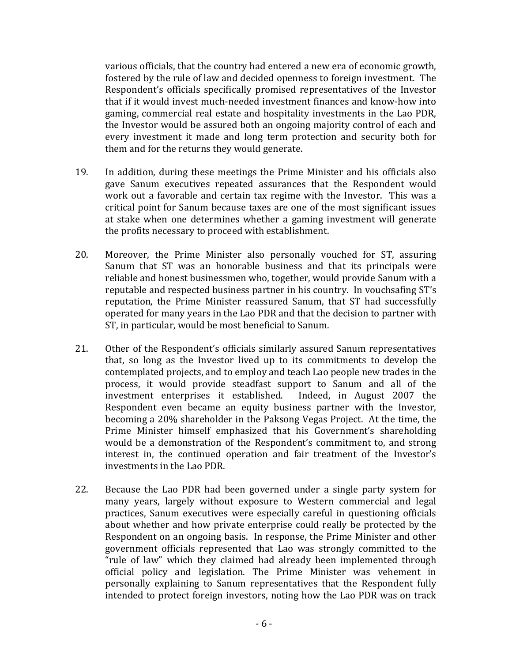various officials, that the country had entered a new era of economic growth, fostered by the rule of law and decided openness to foreign investment. The Respondent's officials specifically promised representatives of the Investor that if it would invest much-needed investment finances and know-how into gaming, commercial real estate and hospitality investments in the Lao PDR, the Investor would be assured both an ongoing majority control of each and every investment it made and long term protection and security both for them and for the returns they would generate.

- 19. In addition, during these meetings the Prime Minister and his officials also gave Sanum executives repeated assurances that the Respondent would work out a favorable and certain tax regime with the Investor. This was a critical point for Sanum because taxes are one of the most significant issues at stake when one determines whether a gaming investment will generate the profits necessary to proceed with establishment.
- 20. Moreover, the Prime Minister also personally vouched for ST, assuring Sanum that ST was an honorable business and that its principals were reliable and honest businessmen who, together, would provide Sanum with a reputable and respected business partner in his country. In vouchsafing ST's reputation, the Prime Minister reassured Sanum, that ST had successfully operated for many years in the Lao PDR and that the decision to partner with ST, in particular, would be most beneficial to Sanum.
- 21. Other of the Respondent's officials similarly assured Sanum representatives that, so long as the Investor lived up to its commitments to develop the contemplated projects, and to employ and teach Lao people new trades in the process, it would provide steadfast support to Sanum and all of the investment enterprises it established. Indeed, in August 2007 the Respondent even became an equity business partner with the Investor, becoming a 20% shareholder in the Paksong Vegas Project. At the time, the Prime Minister himself emphasized that his Government's shareholding would be a demonstration of the Respondent's commitment to, and strong interest in, the continued operation and fair treatment of the Investor's investments in the Lao PDR.
- 22. Because the Lao PDR had been governed under a single party system for many years, largely without exposure to Western commercial and legal practices, Sanum executives were especially careful in questioning officials about whether and how private enterprise could really be protected by the Respondent on an ongoing basis. In response, the Prime Minister and other government officials represented that Lao was strongly committed to the "rule of law" which they claimed had already been implemented through official policy and legislation. The Prime Minister was vehement in personally explaining to Sanum representatives that the Respondent fully intended to protect foreign investors, noting how the Lao PDR was on track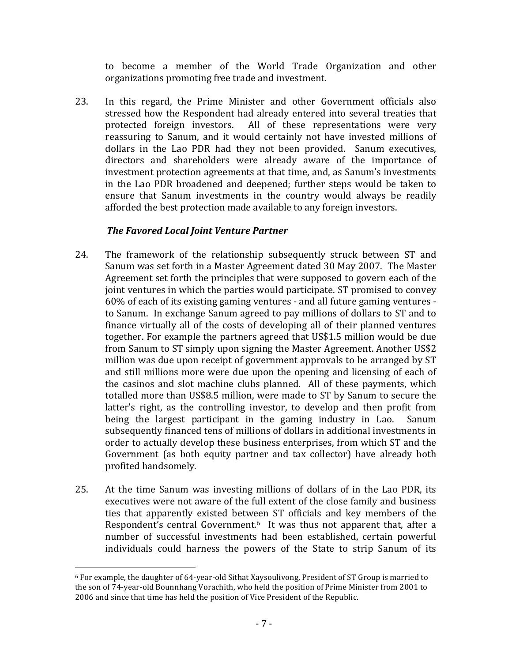to become a member of the World Trade Organization and other organizations promoting free trade and investment.

23. In this regard, the Prime Minister and other Government officials also stressed how the Respondent had already entered into several treaties that protected foreign investors. All of these representations were very reassuring to Sanum, and it would certainly not have invested millions of dollars in the Lao PDR had they not been provided. Sanum executives, directors and shareholders were already aware of the importance of investment protection agreements at that time, and, as Sanum's investments in the Lao PDR broadened and deepened; further steps would be taken to ensure that Sanum investments in the country would always be readily afforded the best protection made available to any foreign investors.

## **The Favored Local Joint Venture Partner**

- 24. The framework of the relationship subsequently struck between ST and Sanum was set forth in a Master Agreement dated 30 May 2007. The Master Agreement set forth the principles that were supposed to govern each of the joint ventures in which the parties would participate. ST promised to convey  $60\%$  of each of its existing gaming ventures - and all future gaming ventures to Sanum. In exchange Sanum agreed to pay millions of dollars to ST and to finance virtually all of the costs of developing all of their planned ventures together. For example the partners agreed that US\$1.5 million would be due from Sanum to ST simply upon signing the Master Agreement. Another US\$2 million was due upon receipt of government approvals to be arranged by ST and still millions more were due upon the opening and licensing of each of the casinos and slot machine clubs planned. All of these payments, which totalled more than US\$8.5 million, were made to ST by Sanum to secure the latter's right, as the controlling investor, to develop and then profit from being the largest participant in the gaming industry in Lao. Sanum subsequently financed tens of millions of dollars in additional investments in order to actually develop these business enterprises, from which ST and the Government (as both equity partner and tax collector) have already both profited handsomely.
- 25. At the time Sanum was investing millions of dollars of in the Lao PDR, its executives were not aware of the full extent of the close family and business ties that apparently existed between ST officials and key members of the Respondent's central Government.<sup>6</sup> It was thus not apparent that, after a number of successful investments had been established, certain powerful individuals could harness the powers of the State to strip Sanum of its

  $6$  For example, the daughter of 64-year-old Sithat Xaysoulivong, President of ST Group is married to the son of 74-year-old Bounnhang Vorachith, who held the position of Prime Minister from 2001 to 2006 and since that time has held the position of Vice President of the Republic.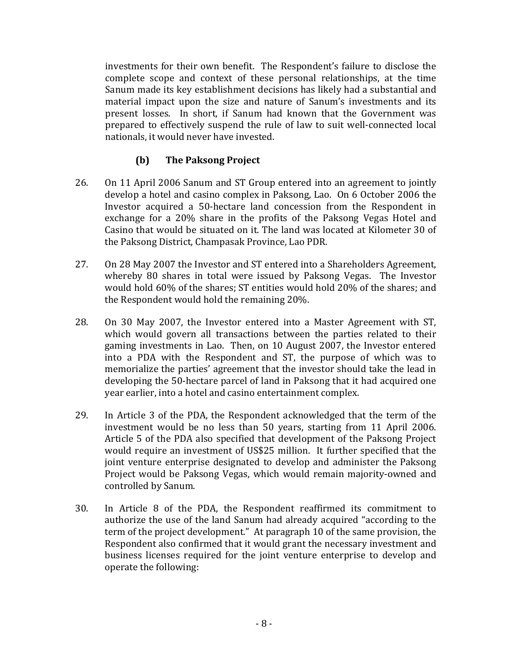investments for their own benefit. The Respondent's failure to disclose the complete scope and context of these personal relationships, at the time Sanum made its key establishment decisions has likely had a substantial and material impact upon the size and nature of Sanum's investments and its present losses. In short, if Sanum had known that the Government was prepared to effectively suspend the rule of law to suit well-connected local nationals, it would never have invested.

# **(b) The Paksong Project**

- 26. On 11 April 2006 Sanum and ST Group entered into an agreement to jointly develop a hotel and casino complex in Paksong, Lao. On 6 October 2006 the Investor acquired a 50-hectare land concession from the Respondent in exchange for a  $20\%$  share in the profits of the Paksong Vegas Hotel and Casino that would be situated on it. The land was located at Kilometer 30 of the Paksong District, Champasak Province, Lao PDR.
- 27. On 28 May 2007 the Investor and ST entered into a Shareholders Agreement, whereby 80 shares in total were issued by Paksong Vegas. The Investor would hold 60% of the shares; ST entities would hold 20% of the shares; and the Respondent would hold the remaining 20%.
- 28. On 30 May 2007, the Investor entered into a Master Agreement with ST, which would govern all transactions between the parties related to their gaming investments in Lao. Then, on 10 August 2007, the Investor entered into a PDA with the Respondent and ST, the purpose of which was to memorialize the parties' agreement that the investor should take the lead in developing the 50-hectare parcel of land in Paksong that it had acquired one year earlier, into a hotel and casino entertainment complex.
- 29. In Article 3 of the PDA, the Respondent acknowledged that the term of the investment would be no less than 50 years, starting from 11 April 2006. Article 5 of the PDA also specified that development of the Paksong Project would require an investment of US\$25 million. It further specified that the joint venture enterprise designated to develop and administer the Paksong Project would be Paksong Vegas, which would remain majority-owned and controlled by Sanum.
- 30. In Article 8 of the PDA, the Respondent reaffirmed its commitment to authorize the use of the land Sanum had already acquired "according to the term of the project development." At paragraph 10 of the same provision, the Respondent also confirmed that it would grant the necessary investment and business licenses required for the joint venture enterprise to develop and operate the following: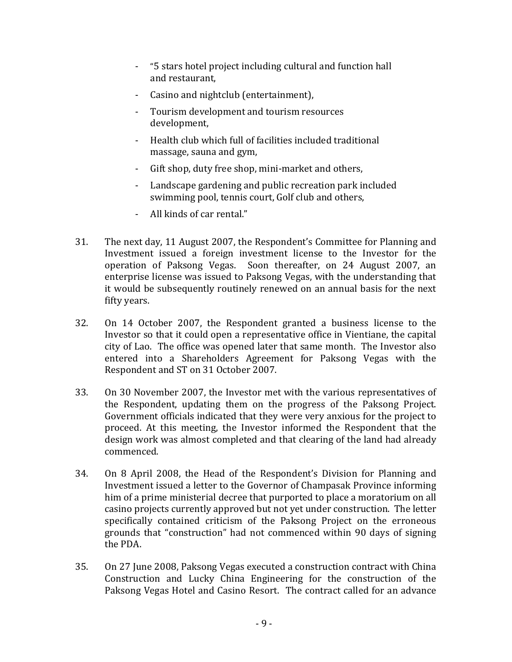- "5 stars hotel project including cultural and function hall and restaurant,
- Casino and nightclub (entertainment),
- Tourism development and tourism resources development,
- Health club which full of facilities included traditional massage, sauna and gym,
- Gift shop, duty free shop, mini-market and others,
- Landscape gardening and public recreation park included swimming pool, tennis court, Golf club and others,
- All kinds of car rental."
- 31. The next day, 11 August 2007, the Respondent's Committee for Planning and Investment issued a foreign investment license to the Investor for the operation of Paksong Vegas. Soon thereafter, on 24 August 2007, an enterprise license was issued to Paksong Vegas, with the understanding that it would be subsequently routinely renewed on an annual basis for the next fifty years.
- 32. On 14 October 2007, the Respondent granted a business license to the Investor so that it could open a representative office in Vientiane, the capital city of Lao. The office was opened later that same month. The Investor also entered into a Shareholders Agreement for Paksong Vegas with the Respondent and ST on 31 October 2007.
- 33. On 30 November 2007, the Investor met with the various representatives of the Respondent, updating them on the progress of the Paksong Project. Government officials indicated that they were very anxious for the project to proceed. At this meeting, the Investor informed the Respondent that the design work was almost completed and that clearing of the land had already commenced.
- 34. On 8 April 2008, the Head of the Respondent's Division for Planning and Investment issued a letter to the Governor of Champasak Province informing him of a prime ministerial decree that purported to place a moratorium on all casino projects currently approved but not yet under construction. The letter specifically contained criticism of the Paksong Project on the erroneous grounds that "construction" had not commenced within 90 days of signing the PDA.
- 35. On 27 June 2008, Paksong Vegas executed a construction contract with China Construction and Lucky China Engineering for the construction of the Paksong Vegas Hotel and Casino Resort. The contract called for an advance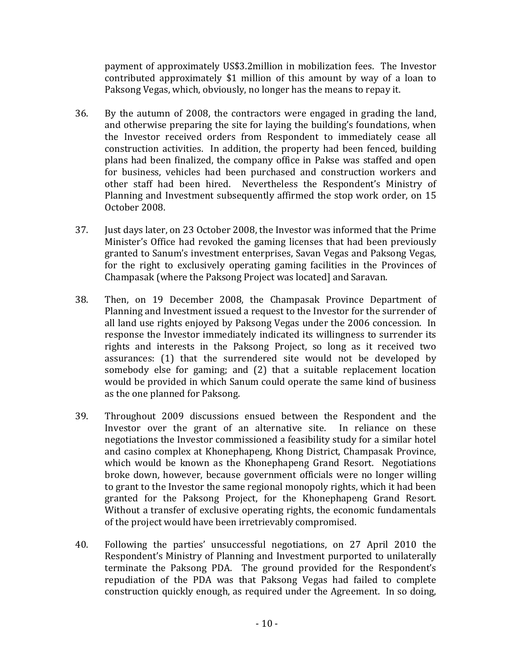payment of approximately US\$3.2million in mobilization fees. The Investor contributed approximately \$1 million of this amount by way of a loan to Paksong Vegas, which, obviously, no longer has the means to repay it.

- 36. By the autumn of 2008, the contractors were engaged in grading the land, and otherwise preparing the site for laying the building's foundations, when the Investor received orders from Respondent to immediately cease all construction activities. In addition, the property had been fenced, building plans had been finalized, the company office in Pakse was staffed and open for business, vehicles had been purchased and construction workers and other staff had been hired. Nevertheless the Respondent's Ministry of Planning and Investment subsequently affirmed the stop work order, on 15 October 2008.
- 37. Just days later, on 23 October 2008, the Investor was informed that the Prime Minister's Office had revoked the gaming licenses that had been previously granted to Sanum's investment enterprises, Savan Vegas and Paksong Vegas, for the right to exclusively operating gaming facilities in the Provinces of Champasak (where the Paksong Project was located] and Saravan.
- 38. Then, on 19 December 2008, the Champasak Province Department of Planning and Investment issued a request to the Investor for the surrender of all land use rights enjoyed by Paksong Vegas under the 2006 concession. In response the Investor immediately indicated its willingness to surrender its rights and interests in the Paksong Project, so long as it received two assurances: (1) that the surrendered site would not be developed by somebody else for gaming; and  $(2)$  that a suitable replacement location would be provided in which Sanum could operate the same kind of business as the one planned for Paksong.
- 39. Throughout 2009 discussions ensued between the Respondent and the Investor over the grant of an alternative site. In reliance on these negotiations the Investor commissioned a feasibility study for a similar hotel and casino complex at Khonephapeng, Khong District, Champasak Province, which would be known as the Khonephapeng Grand Resort. Negotiations broke down, however, because government officials were no longer willing to grant to the Investor the same regional monopoly rights, which it had been granted for the Paksong Project, for the Khonephapeng Grand Resort. Without a transfer of exclusive operating rights, the economic fundamentals of the project would have been irretrievably compromised.
- 40. Following the parties' unsuccessful negotiations, on 27 April 2010 the Respondent's Ministry of Planning and Investment purported to unilaterally terminate the Paksong PDA. The ground provided for the Respondent's repudiation of the PDA was that Paksong Vegas had failed to complete construction quickly enough, as required under the Agreement. In so doing,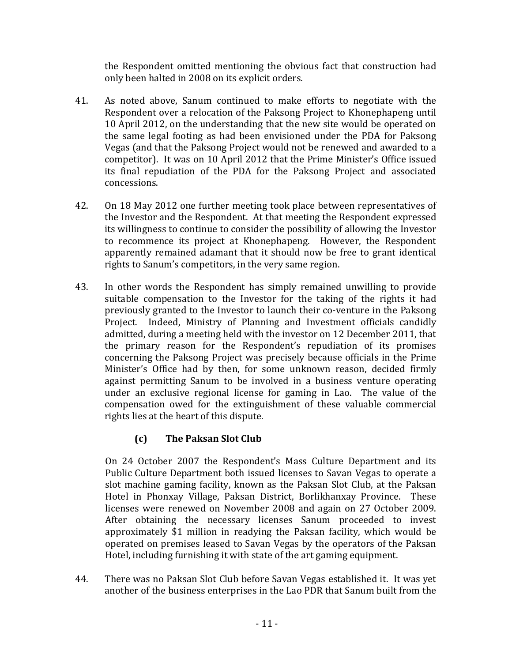the Respondent omitted mentioning the obvious fact that construction had only been halted in 2008 on its explicit orders.

- 41. As noted above, Sanum continued to make efforts to negotiate with the Respondent over a relocation of the Paksong Project to Khonephapeng until 10 April 2012, on the understanding that the new site would be operated on the same legal footing as had been envisioned under the PDA for Paksong Vegas (and that the Paksong Project would not be renewed and awarded to a competitor). It was on 10 April 2012 that the Prime Minister's Office issued its final repudiation of the PDA for the Paksong Project and associated concessions.
- 42. On 18 May 2012 one further meeting took place between representatives of the Investor and the Respondent. At that meeting the Respondent expressed its willingness to continue to consider the possibility of allowing the Investor to recommence its project at Khonephapeng. However, the Respondent apparently remained adamant that it should now be free to grant identical rights to Sanum's competitors, in the very same region.
- 43. In other words the Respondent has simply remained unwilling to provide suitable compensation to the Investor for the taking of the rights it had previously granted to the Investor to launch their co-venture in the Paksong Project. Indeed, Ministry of Planning and Investment officials candidly admitted, during a meeting held with the investor on 12 December 2011, that the primary reason for the Respondent's repudiation of its promises concerning the Paksong Project was precisely because officials in the Prime Minister's Office had by then, for some unknown reason, decided firmly against permitting Sanum to be involved in a business venture operating under an exclusive regional license for gaming in Lao. The value of the compensation owed for the extinguishment of these valuable commercial rights lies at the heart of this dispute.

# **(c) The Paksan Slot Club**

On 24 October 2007 the Respondent's Mass Culture Department and its Public Culture Department both issued licenses to Savan Vegas to operate a slot machine gaming facility, known as the Paksan Slot Club, at the Paksan Hotel in Phonxay Village, Paksan District, Borlikhanxay Province. These licenses were renewed on November 2008 and again on 27 October 2009. After obtaining the necessary licenses Sanum proceeded to invest approximately \$1 million in readying the Paksan facility, which would be operated on premises leased to Savan Vegas by the operators of the Paksan Hotel, including furnishing it with state of the art gaming equipment.

44. There was no Paksan Slot Club before Savan Vegas established it. It was yet another of the business enterprises in the Lao PDR that Sanum built from the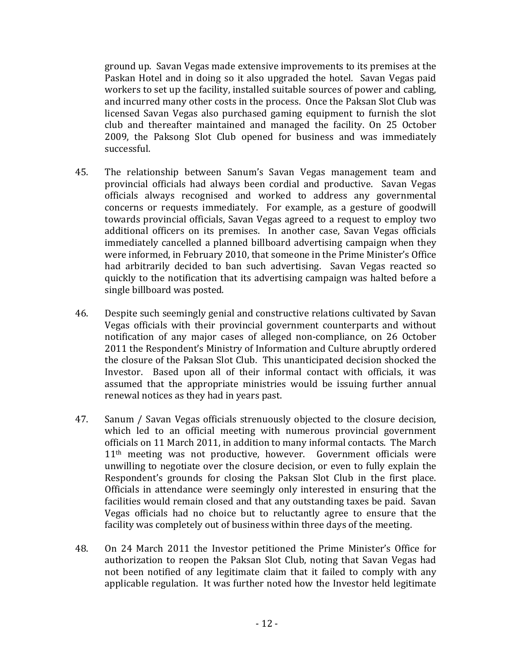ground up. Savan Vegas made extensive improvements to its premises at the Paskan Hotel and in doing so it also upgraded the hotel. Savan Vegas paid workers to set up the facility, installed suitable sources of power and cabling, and incurred many other costs in the process. Once the Paksan Slot Club was licensed Savan Vegas also purchased gaming equipment to furnish the slot club and thereafter maintained and managed the facility. On 25 October 2009, the Paksong Slot Club opened for business and was immediately successful.

- 45. The relationship between Sanum's Savan Vegas management team and provincial officials had always been cordial and productive. Savan Vegas officials always recognised and worked to address any governmental concerns or requests immediately. For example, as a gesture of goodwill towards provincial officials, Savan Vegas agreed to a request to employ two additional officers on its premises. In another case, Savan Vegas officials immediately cancelled a planned billboard advertising campaign when they were informed, in February 2010, that someone in the Prime Minister's Office had arbitrarily decided to ban such advertising. Savan Vegas reacted so quickly to the notification that its advertising campaign was halted before a single billboard was posted.
- 46. Despite such seemingly genial and constructive relations cultivated by Savan Vegas officials with their provincial government counterparts and without notification of any major cases of alleged non-compliance, on 26 October 2011 the Respondent's Ministry of Information and Culture abruptly ordered the closure of the Paksan Slot Club. This unanticipated decision shocked the Investor. Based upon all of their informal contact with officials, it was assumed that the appropriate ministries would be issuing further annual renewal notices as they had in years past.
- 47. Sanum / Savan Vegas officials strenuously objected to the closure decision, which led to an official meeting with numerous provincial government officials on 11 March 2011, in addition to many informal contacts. The March  $11<sup>th</sup>$  meeting was not productive, however. Government officials were unwilling to negotiate over the closure decision, or even to fully explain the Respondent's grounds for closing the Paksan Slot Club in the first place. Officials in attendance were seemingly only interested in ensuring that the facilities would remain closed and that any outstanding taxes be paid. Savan Vegas officials had no choice but to reluctantly agree to ensure that the facility was completely out of business within three days of the meeting.
- 48. On 24 March 2011 the Investor petitioned the Prime Minister's Office for authorization to reopen the Paksan Slot Club, noting that Savan Vegas had not been notified of any legitimate claim that it failed to comply with any applicable regulation. It was further noted how the Investor held legitimate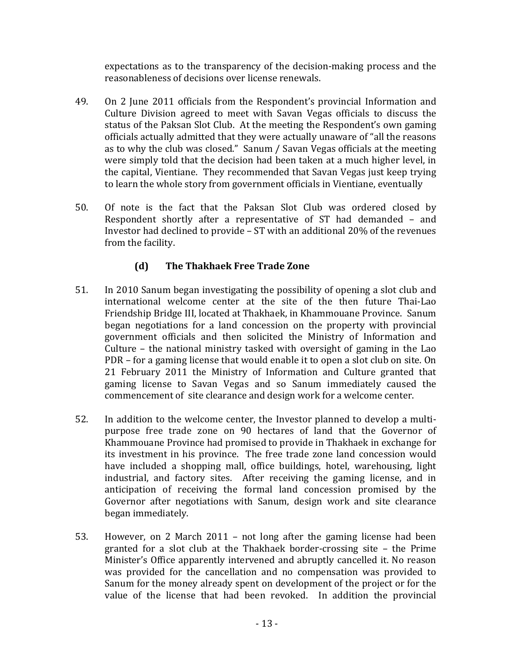expectations as to the transparency of the decision-making process and the reasonableness of decisions over license renewals.

- 49. On 2 June 2011 officials from the Respondent's provincial Information and Culture Division agreed to meet with Savan Vegas officials to discuss the status of the Paksan Slot Club. At the meeting the Respondent's own gaming officials actually admitted that they were actually unaware of "all the reasons" as to why the club was closed." Sanum / Savan Vegas officials at the meeting were simply told that the decision had been taken at a much higher level, in the capital, Vientiane. They recommended that Savan Vegas just keep trying to learn the whole story from government officials in Vientiane, eventually
- 50. Of note is the fact that the Paksan Slot Club was ordered closed by Respondent shortly after a representative of  $ST$  had demanded  $-$  and Investor had declined to provide –  $ST$  with an additional  $20\%$  of the revenues from the facility.

# **(d) The Thakhaek Free Trade Zone**

- 51. In 2010 Sanum began investigating the possibility of opening a slot club and international welcome center at the site of the then future Thai-Lao Friendship Bridge III, located at Thakhaek, in Khammouane Province. Sanum began negotiations for a land concession on the property with provincial government officials and then solicited the Ministry of Information and Culture – the national ministry tasked with oversight of gaming in the Lao PDR – for a gaming license that would enable it to open a slot club on site. On 21 February 2011 the Ministry of Information and Culture granted that gaming license to Savan Vegas and so Sanum immediately caused the commencement of site clearance and design work for a welcome center.
- 52. In addition to the welcome center, the Investor planned to develop a multipurpose free trade zone on 90 hectares of land that the Governor of Khammouane Province had promised to provide in Thakhaek in exchange for its investment in his province. The free trade zone land concession would have included a shopping mall, office buildings, hotel, warehousing, light industrial, and factory sites. After receiving the gaming license, and in anticipation of receiving the formal land concession promised by the Governor after negotiations with Sanum, design work and site clearance began immediately.
- 53. However, on 2 March 2011 not long after the gaming license had been granted for a slot club at the Thakhaek border-crossing site  $-$  the Prime Minister's Office apparently intervened and abruptly cancelled it. No reason was provided for the cancellation and no compensation was provided to Sanum for the money already spent on development of the project or for the value of the license that had been revoked. In addition the provincial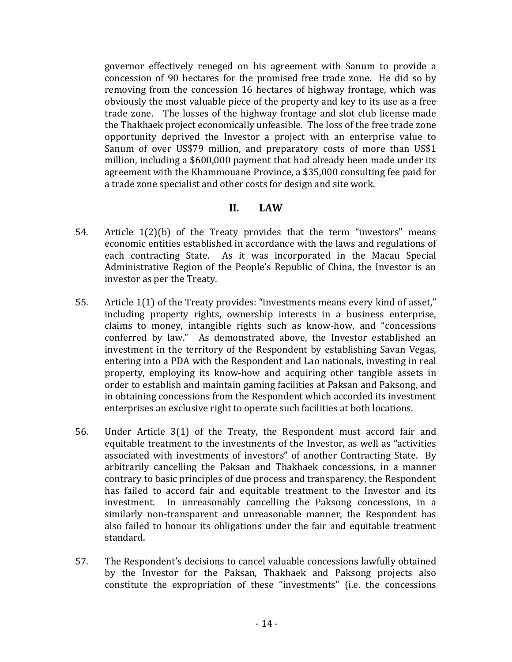governor effectively reneged on his agreement with Sanum to provide a concession of 90 hectares for the promised free trade zone. He did so by removing from the concession 16 hectares of highway frontage, which was obviously the most valuable piece of the property and key to its use as a free trade zone. The losses of the highway frontage and slot club license made the Thakhaek project economically unfeasible. The loss of the free trade zone opportunity deprived the Investor a project with an enterprise value to Sanum of over US\$79 million, and preparatory costs of more than US\$1 million, including a \$600,000 payment that had already been made under its agreement with the Khammouane Province, a \$35,000 consulting fee paid for a trade zone specialist and other costs for design and site work.

### **II. LAW**

- 54. Article  $1(2)$ (b) of the Treaty provides that the term "investors" means economic entities established in accordance with the laws and regulations of each contracting State. As it was incorporated in the Macau Special Administrative Region of the People's Republic of China, the Investor is an investor as per the Treaty.
- 55. Article  $1(1)$  of the Treaty provides: "investments means every kind of asset," including property rights, ownership interests in a business enterprise, claims to money, intangible rights such as know-how, and "concessions conferred by law." As demonstrated above, the Investor established an investment in the territory of the Respondent by establishing Savan Vegas, entering into a PDA with the Respondent and Lao nationals, investing in real property, employing its know-how and acquiring other tangible assets in order to establish and maintain gaming facilities at Paksan and Paksong, and in obtaining concessions from the Respondent which accorded its investment enterprises an exclusive right to operate such facilities at both locations.
- 56. Under Article 3(1) of the Treaty, the Respondent must accord fair and equitable treatment to the investments of the Investor, as well as "activities associated with investments of investors" of another Contracting State. By arbitrarily cancelling the Paksan and Thakhaek concessions, in a manner contrary to basic principles of due process and transparency, the Respondent has failed to accord fair and equitable treatment to the Investor and its investment. In unreasonably cancelling the Paksong concessions, in a similarly non-transparent and unreasonable manner, the Respondent has also failed to honour its obligations under the fair and equitable treatment standard.
- 57. The Respondent's decisions to cancel valuable concessions lawfully obtained by the Investor for the Paksan, Thakhaek and Paksong projects also constitute the expropriation of these "investments" (i.e. the concessions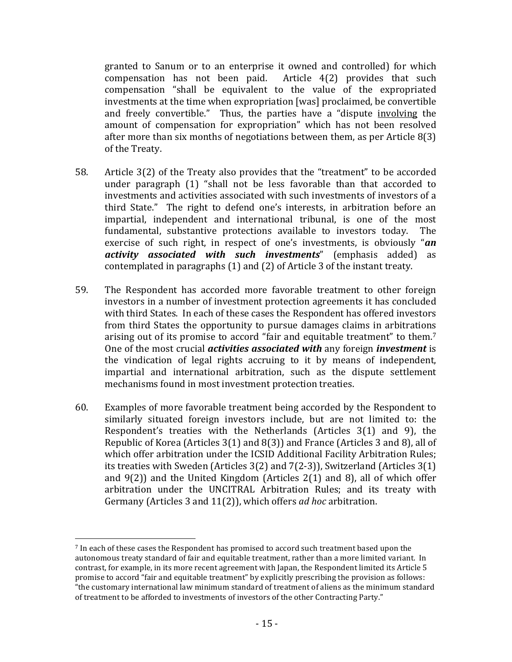granted to Sanum or to an enterprise it owned and controlled) for which compensation has not been paid. Article  $4(2)$  provides that such compensation "shall be equivalent to the value of the expropriated investments at the time when expropriation [was] proclaimed, be convertible and freely convertible." Thus, the parties have a "dispute involving the amount of compensation for expropriation" which has not been resolved after more than six months of negotiations between them, as per Article  $8(3)$ of the Treaty.

- 58. Article 3(2) of the Treaty also provides that the "treatment" to be accorded under paragraph  $(1)$  "shall not be less favorable than that accorded to investments and activities associated with such investments of investors of a third State." The right to defend one's interests, in arbitration before an impartial, independent and international tribunal, is one of the most fundamental, substantive protections available to investors today. The exercise of such right, in respect of one's investments, is obviously "*an* activity associated with such investments<sup>"</sup> (emphasis added) as contemplated in paragraphs  $(1)$  and  $(2)$  of Article 3 of the instant treaty.
- 59. The Respondent has accorded more favorable treatment to other foreign investors in a number of investment protection agreements it has concluded with third States. In each of these cases the Respondent has offered investors from third States the opportunity to pursue damages claims in arbitrations arising out of its promise to accord "fair and equitable treatment" to them.<sup>7</sup> One of the most crucial *activities associated with* any foreign *investment* is the vindication of legal rights accruing to it by means of independent, impartial and international arbitration, such as the dispute settlement mechanisms found in most investment protection treaties.
- 60. Examples of more favorable treatment being accorded by the Respondent to similarly situated foreign investors include, but are not limited to: the Respondent's treaties with the Netherlands (Articles  $3(1)$  and 9), the Republic of Korea (Articles  $3(1)$  and  $8(3)$ ) and France (Articles 3 and 8), all of which offer arbitration under the ICSID Additional Facility Arbitration Rules; its treaties with Sweden (Articles  $3(2)$  and  $7(2-3)$ ), Switzerland (Articles  $3(1)$ ) and  $9(2)$ ) and the United Kingdom (Articles  $2(1)$  and 8), all of which offer arbitration under the UNCITRAL Arbitration Rules; and its treaty with Germany (Articles 3 and 11(2)), which offers *ad hoc* arbitration.

 

<sup>&</sup>lt;sup>7</sup> In each of these cases the Respondent has promised to accord such treatment based upon the autonomous treaty standard of fair and equitable treatment, rather than a more limited variant. In contrast, for example, in its more recent agreement with Japan, the Respondent limited its Article 5 promise to accord "fair and equitable treatment" by explicitly prescribing the provision as follows: "the customary international law minimum standard of treatment of aliens as the minimum standard of treatment to be afforded to investments of investors of the other Contracting Party."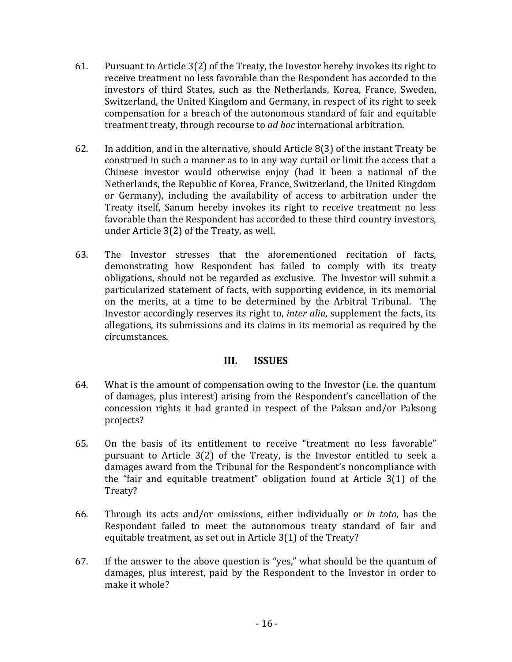- 61. Pursuant to Article  $3(2)$  of the Treaty, the Investor hereby invokes its right to receive treatment no less favorable than the Respondent has accorded to the investors of third States, such as the Netherlands, Korea, France, Sweden, Switzerland, the United Kingdom and Germany, in respect of its right to seek compensation for a breach of the autonomous standard of fair and equitable treatment treaty, through recourse to *ad hoc* international arbitration.
- 62. In addition, and in the alternative, should Article  $8(3)$  of the instant Treaty be construed in such a manner as to in any way curtail or limit the access that a Chinese investor would otherwise enjoy (had it been a national of the Netherlands, the Republic of Korea, France, Switzerland, the United Kingdom or Germany), including the availability of access to arbitration under the Treaty itself, Sanum hereby invokes its right to receive treatment no less favorable than the Respondent has accorded to these third country investors, under Article  $3(2)$  of the Treaty, as well.
- 63. The Investor stresses that the aforementioned recitation of facts, demonstrating how Respondent has failed to comply with its treaty obligations, should not be regarded as exclusive. The Investor will submit a particularized statement of facts, with supporting evidence, in its memorial on the merits, at a time to be determined by the Arbitral Tribunal. The Investor accordingly reserves its right to, *inter alia*, supplement the facts, its allegations, its submissions and its claims in its memorial as required by the circumstances.

# **III. ISSUES**

- 64. What is the amount of compensation owing to the Investor (i.e. the quantum of damages, plus interest) arising from the Respondent's cancellation of the concession rights it had granted in respect of the Paksan and/or Paksong projects?
- 65. On the basis of its entitlement to receive "treatment no less favorable" pursuant to Article  $3(2)$  of the Treaty, is the Investor entitled to seek a damages award from the Tribunal for the Respondent's noncompliance with the "fair and equitable treatment" obligation found at Article  $3(1)$  of the Treaty?
- 66. Through its acts and/or omissions, either individually or *in toto*, has the Respondent failed to meet the autonomous treaty standard of fair and equitable treatment, as set out in Article 3(1) of the Treaty?
- 67. If the answer to the above question is "yes," what should be the quantum of damages, plus interest, paid by the Respondent to the Investor in order to make it whole?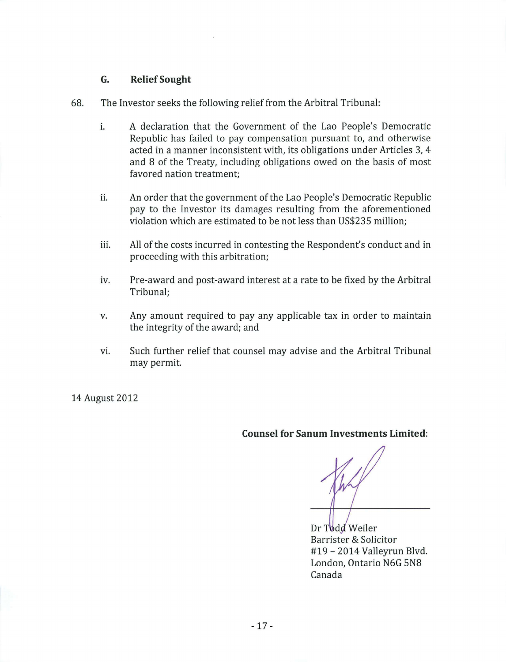### **G. Relief Sought**

- 68. The Investor seeks the following relief from the Arbitral Tribunal:
	- i. A declaration that the Government of the Lao People's Democratic Republic has failed to pay compensation pursuant to, and otherwise acted in a manner inconsistent with, its obligations under Articles 3, 4 and 8 of the Treaty, including obligations owed on the basis of most favored nation treatment;
	- ii. An order that the government of the Lao People's Democratic Republic pay to the Investor its damages resulting from the aforementioned violation which are estimated to be not less than US\$235 million;
	- iii. All of the costs incurred in contesting the Respondent's conduct and in proceeding with this arbitration;
	- iv. Pre-award and post-award interest at a rate to be fixed by the Arbitral Tribunal;
	- v. Any amount required to pay any applicable tax in order to maintain the integrity of the award; and
	- vi. Such further relief that counsel may advise and the Arbitral Tribunal may permit.

14 August 2012

**Counsel for Sanum Investments Limited:** 

Dr Todd Weiler Barrister & Solicitor #19 - 2014 Valleyrun Blvd. London, Ontario N6G 5N8 Canada